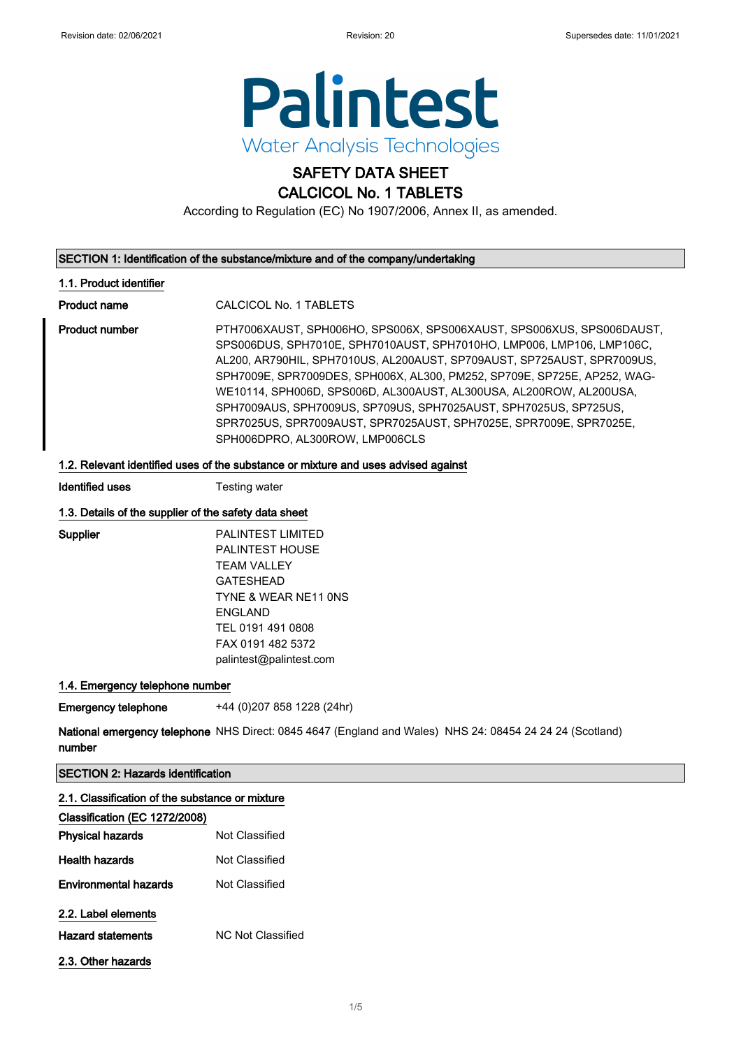

# SAFETY DATA SHEET

### CALCICOL No. 1 TABLETS

According to Regulation (EC) No 1907/2006, Annex II, as amended.

#### SECTION 1: Identification of the substance/mixture and of the company/undertaking

#### 1.1. Product identifier

Product name CALCICOL No. 1 TABLETS

Product number **PTH7006XAUST, SPH006HO, SPS006X, SPS006XAUST, SPS006XUS, SPS006DAUST,** SPS006DUS, SPH7010E, SPH7010AUST, SPH7010HO, LMP006, LMP106, LMP106C, AL200, AR790HIL, SPH7010US, AL200AUST, SP709AUST, SP725AUST, SPR7009US, SPH7009E, SPR7009DES, SPH006X, AL300, PM252, SP709E, SP725E, AP252, WAG-WE10114, SPH006D, SPS006D, AL300AUST, AL300USA, AL200ROW, AL200USA, SPH7009AUS, SPH7009US, SP709US, SPH7025AUST, SPH7025US, SP725US, SPR7025US, SPR7009AUST, SPR7025AUST, SPH7025E, SPR7009E, SPR7025E, SPH006DPRO, AL300ROW, LMP006CLS

#### 1.2. Relevant identified uses of the substance or mixture and uses advised against

Identified uses Testing water

#### 1.3. Details of the supplier of the safety data sheet

Supplier PALINTEST LIMITED PALINTEST HOUSE TEAM VALLEY GATESHEAD TYNE & WEAR NE11 0NS ENGLAND TEL 0191 491 0808 FAX 0191 482 5372 palintest@palintest.com

#### 1.4. Emergency telephone number

**Emergency telephone** +44 (0)207 858 1228 (24hr)

National emergency telephone NHS Direct: 0845 4647 (England and Wales) NHS 24: 08454 24 24 24 (Scotland) number

#### SECTION 2: Hazards identification

| 2.1. Classification of the substance or mixture<br>Classification (EC 1272/2008) |                   |
|----------------------------------------------------------------------------------|-------------------|
| <b>Physical hazards</b>                                                          | Not Classified    |
| <b>Health hazards</b>                                                            | Not Classified    |
| <b>Environmental hazards</b>                                                     | Not Classified    |
| 2.2. Label elements                                                              |                   |
| <b>Hazard statements</b>                                                         | NC Not Classified |
| 2.3. Other hazards                                                               |                   |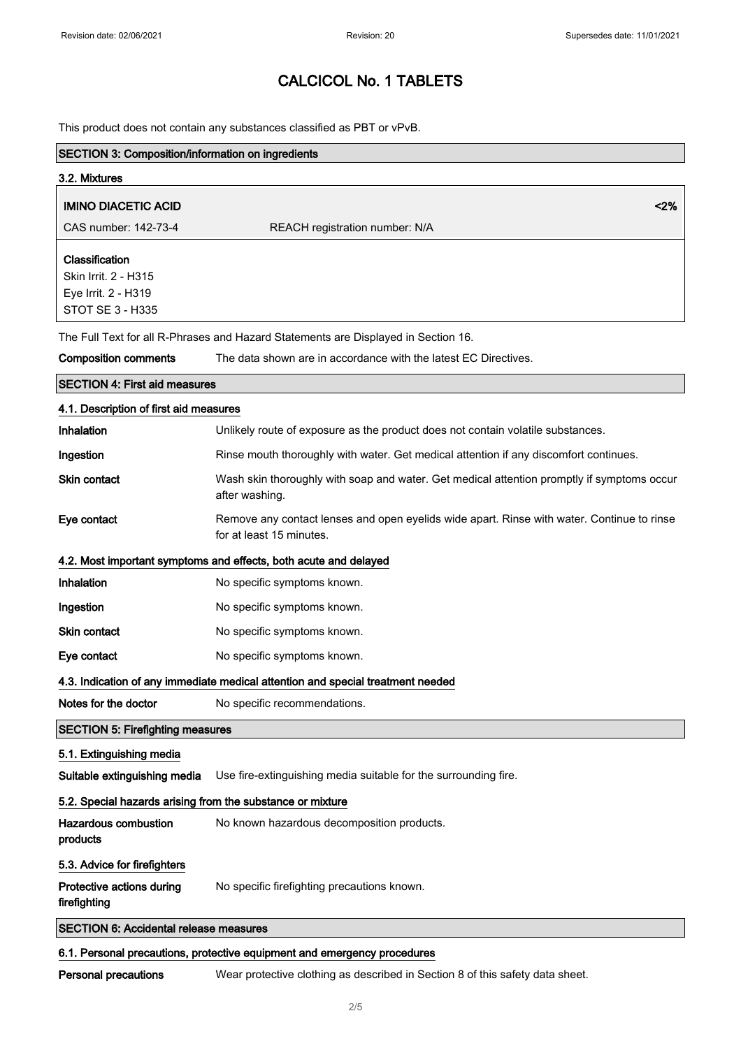h

# CALCICOL No. 1 TABLETS

This product does not contain any substances classified as PBT or vPvB.

| <b>SECTION 3: Composition/information on ingredients</b>                          |                                                                                                                        |  |  |
|-----------------------------------------------------------------------------------|------------------------------------------------------------------------------------------------------------------------|--|--|
| 3.2. Mixtures                                                                     |                                                                                                                        |  |  |
| <b>IMINO DIACETIC ACID</b>                                                        | 2%                                                                                                                     |  |  |
| CAS number: 142-73-4                                                              | REACH registration number: N/A                                                                                         |  |  |
| Classification<br>Skin Irrit. 2 - H315<br>Eye Irrit. 2 - H319<br>STOT SE 3 - H335 |                                                                                                                        |  |  |
|                                                                                   | The Full Text for all R-Phrases and Hazard Statements are Displayed in Section 16.                                     |  |  |
| <b>Composition comments</b>                                                       | The data shown are in accordance with the latest EC Directives.                                                        |  |  |
| <b>SECTION 4: First aid measures</b>                                              |                                                                                                                        |  |  |
| 4.1. Description of first aid measures                                            |                                                                                                                        |  |  |
| Inhalation                                                                        | Unlikely route of exposure as the product does not contain volatile substances.                                        |  |  |
| Ingestion                                                                         | Rinse mouth thoroughly with water. Get medical attention if any discomfort continues.                                  |  |  |
| <b>Skin contact</b>                                                               | Wash skin thoroughly with soap and water. Get medical attention promptly if symptoms occur<br>after washing.           |  |  |
| Eye contact                                                                       | Remove any contact lenses and open eyelids wide apart. Rinse with water. Continue to rinse<br>for at least 15 minutes. |  |  |
|                                                                                   | 4.2. Most important symptoms and effects, both acute and delayed                                                       |  |  |
| Inhalation                                                                        | No specific symptoms known.                                                                                            |  |  |
| Ingestion                                                                         | No specific symptoms known.                                                                                            |  |  |
| <b>Skin contact</b>                                                               | No specific symptoms known.                                                                                            |  |  |
| Eye contact                                                                       | No specific symptoms known.                                                                                            |  |  |
|                                                                                   | 4.3. Indication of any immediate medical attention and special treatment needed                                        |  |  |
| Notes for the doctor                                                              | No specific recommendations.                                                                                           |  |  |
| <b>SECTION 5: Firefighting measures</b>                                           |                                                                                                                        |  |  |
| 5.1. Extinguishing media                                                          |                                                                                                                        |  |  |
| Suitable extinguishing media                                                      | Use fire-extinguishing media suitable for the surrounding fire.                                                        |  |  |
| 5.2. Special hazards arising from the substance or mixture                        |                                                                                                                        |  |  |
| <b>Hazardous combustion</b><br>products                                           | No known hazardous decomposition products.                                                                             |  |  |
| 5.3. Advice for firefighters                                                      |                                                                                                                        |  |  |
| Protective actions during<br>firefighting                                         | No specific firefighting precautions known.                                                                            |  |  |
| <b>SECTION 6: Accidental release measures</b>                                     |                                                                                                                        |  |  |
| 6.1. Personal precautions, protective equipment and emergency procedures          |                                                                                                                        |  |  |

Personal precautions Wear protective clothing as described in Section 8 of this safety data sheet.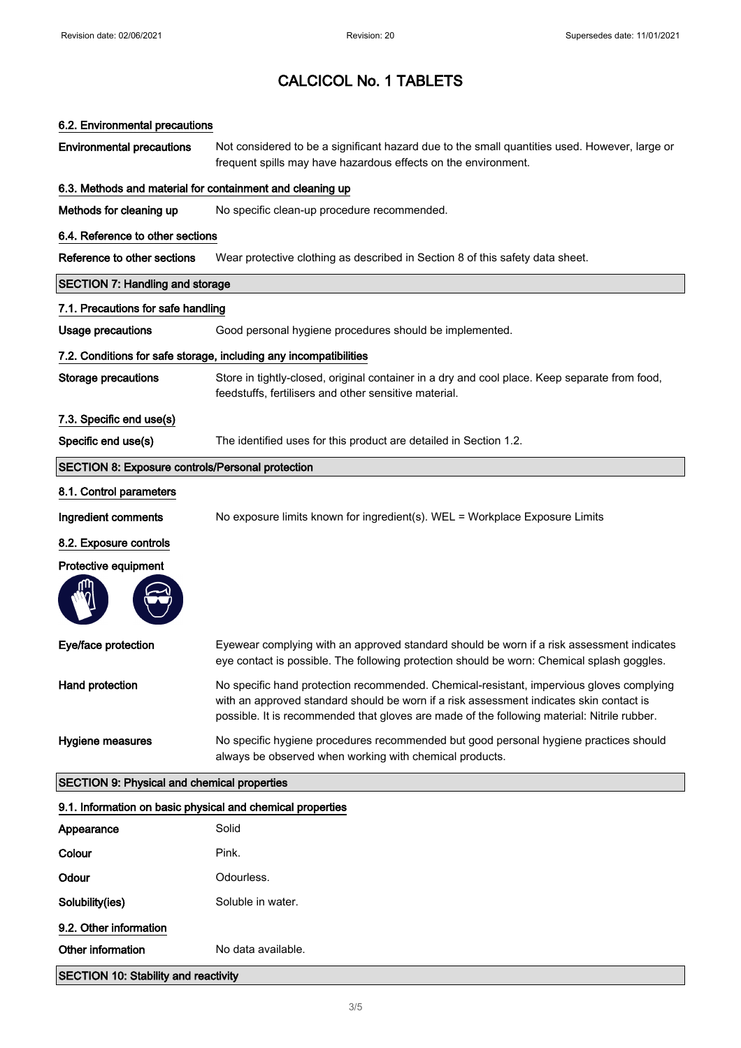# CALCICOL No. 1 TABLETS

| 6.2. Environmental precautions                             |                                                                                                                                                                                                                                                                                    |  |  |  |
|------------------------------------------------------------|------------------------------------------------------------------------------------------------------------------------------------------------------------------------------------------------------------------------------------------------------------------------------------|--|--|--|
| <b>Environmental precautions</b>                           | Not considered to be a significant hazard due to the small quantities used. However, large or<br>frequent spills may have hazardous effects on the environment.                                                                                                                    |  |  |  |
| 6.3. Methods and material for containment and cleaning up  |                                                                                                                                                                                                                                                                                    |  |  |  |
| Methods for cleaning up                                    | No specific clean-up procedure recommended.                                                                                                                                                                                                                                        |  |  |  |
| 6.4. Reference to other sections                           |                                                                                                                                                                                                                                                                                    |  |  |  |
| Reference to other sections                                | Wear protective clothing as described in Section 8 of this safety data sheet.                                                                                                                                                                                                      |  |  |  |
| <b>SECTION 7: Handling and storage</b>                     |                                                                                                                                                                                                                                                                                    |  |  |  |
| 7.1. Precautions for safe handling                         |                                                                                                                                                                                                                                                                                    |  |  |  |
| <b>Usage precautions</b>                                   | Good personal hygiene procedures should be implemented.                                                                                                                                                                                                                            |  |  |  |
|                                                            | 7.2. Conditions for safe storage, including any incompatibilities                                                                                                                                                                                                                  |  |  |  |
| <b>Storage precautions</b>                                 | Store in tightly-closed, original container in a dry and cool place. Keep separate from food,<br>feedstuffs, fertilisers and other sensitive material.                                                                                                                             |  |  |  |
| 7.3. Specific end use(s)                                   |                                                                                                                                                                                                                                                                                    |  |  |  |
| Specific end use(s)                                        | The identified uses for this product are detailed in Section 1.2.                                                                                                                                                                                                                  |  |  |  |
| <b>SECTION 8: Exposure controls/Personal protection</b>    |                                                                                                                                                                                                                                                                                    |  |  |  |
| 8.1. Control parameters                                    |                                                                                                                                                                                                                                                                                    |  |  |  |
| Ingredient comments                                        | No exposure limits known for ingredient(s). WEL = Workplace Exposure Limits                                                                                                                                                                                                        |  |  |  |
| 8.2. Exposure controls                                     |                                                                                                                                                                                                                                                                                    |  |  |  |
| Protective equipment                                       |                                                                                                                                                                                                                                                                                    |  |  |  |
|                                                            |                                                                                                                                                                                                                                                                                    |  |  |  |
| Eye/face protection                                        | Eyewear complying with an approved standard should be worn if a risk assessment indicates<br>eye contact is possible. The following protection should be worn: Chemical splash goggles.                                                                                            |  |  |  |
| Hand protection                                            | No specific hand protection recommended. Chemical-resistant, impervious gloves complying<br>with an approved standard should be worn if a risk assessment indicates skin contact is<br>possible. It is recommended that gloves are made of the following material: Nitrile rubber. |  |  |  |
| Hygiene measures                                           | No specific hygiene procedures recommended but good personal hygiene practices should<br>always be observed when working with chemical products.                                                                                                                                   |  |  |  |
| <b>SECTION 9: Physical and chemical properties</b>         |                                                                                                                                                                                                                                                                                    |  |  |  |
| 9.1. Information on basic physical and chemical properties |                                                                                                                                                                                                                                                                                    |  |  |  |
| Appearance                                                 | Solid                                                                                                                                                                                                                                                                              |  |  |  |
| Colour                                                     | Pink.                                                                                                                                                                                                                                                                              |  |  |  |
| Odour                                                      | Odourless.                                                                                                                                                                                                                                                                         |  |  |  |

Solubility(ies) Soluble in water. 9.2. Other information

### Other information No data available.

SECTION 10: Stability and reactivity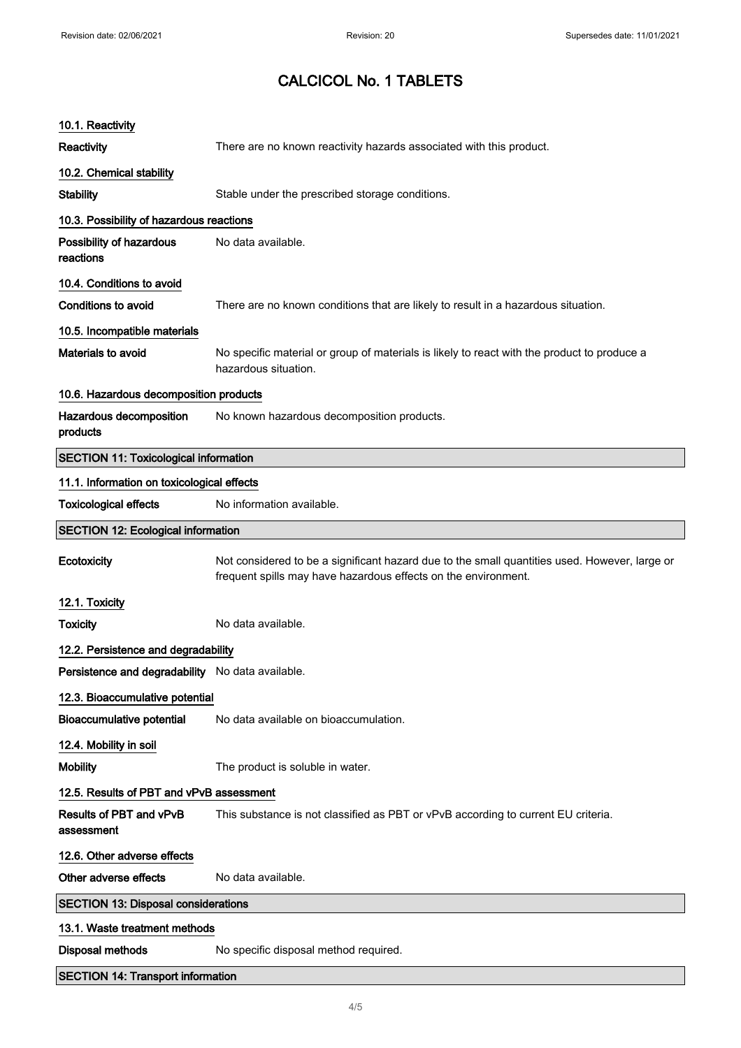# CALCICOL No. 1 TABLETS

| 10.1. Reactivity                                 |                                                                                                                                                                 |  |  |  |
|--------------------------------------------------|-----------------------------------------------------------------------------------------------------------------------------------------------------------------|--|--|--|
| Reactivity                                       | There are no known reactivity hazards associated with this product.                                                                                             |  |  |  |
| 10.2. Chemical stability                         |                                                                                                                                                                 |  |  |  |
| <b>Stability</b>                                 | Stable under the prescribed storage conditions.                                                                                                                 |  |  |  |
| 10.3. Possibility of hazardous reactions         |                                                                                                                                                                 |  |  |  |
| Possibility of hazardous<br>reactions            | No data available.                                                                                                                                              |  |  |  |
| 10.4. Conditions to avoid                        |                                                                                                                                                                 |  |  |  |
| Conditions to avoid                              | There are no known conditions that are likely to result in a hazardous situation.                                                                               |  |  |  |
| 10.5. Incompatible materials                     |                                                                                                                                                                 |  |  |  |
| Materials to avoid                               | No specific material or group of materials is likely to react with the product to produce a<br>hazardous situation.                                             |  |  |  |
| 10.6. Hazardous decomposition products           |                                                                                                                                                                 |  |  |  |
| Hazardous decomposition<br>products              | No known hazardous decomposition products.                                                                                                                      |  |  |  |
| <b>SECTION 11: Toxicological information</b>     |                                                                                                                                                                 |  |  |  |
| 11.1. Information on toxicological effects       |                                                                                                                                                                 |  |  |  |
| <b>Toxicological effects</b>                     | No information available.                                                                                                                                       |  |  |  |
| <b>SECTION 12: Ecological information</b>        |                                                                                                                                                                 |  |  |  |
| Ecotoxicity                                      | Not considered to be a significant hazard due to the small quantities used. However, large or<br>frequent spills may have hazardous effects on the environment. |  |  |  |
| 12.1. Toxicity                                   |                                                                                                                                                                 |  |  |  |
| <b>Toxicity</b>                                  | No data available.                                                                                                                                              |  |  |  |
| 12.2. Persistence and degradability              |                                                                                                                                                                 |  |  |  |
| Persistence and degradability No data available. |                                                                                                                                                                 |  |  |  |
| 12.3. Bioaccumulative potential                  |                                                                                                                                                                 |  |  |  |
| <b>Bioaccumulative potential</b>                 | No data available on bioaccumulation.                                                                                                                           |  |  |  |
| 12.4. Mobility in soil                           |                                                                                                                                                                 |  |  |  |
| <b>Mobility</b>                                  | The product is soluble in water.                                                                                                                                |  |  |  |
| 12.5. Results of PBT and vPvB assessment         |                                                                                                                                                                 |  |  |  |
| Results of PBT and vPvB<br>assessment            | This substance is not classified as PBT or vPvB according to current EU criteria.                                                                               |  |  |  |
| 12.6. Other adverse effects                      |                                                                                                                                                                 |  |  |  |
| Other adverse effects                            | No data available.                                                                                                                                              |  |  |  |
| <b>SECTION 13: Disposal considerations</b>       |                                                                                                                                                                 |  |  |  |
| 13.1. Waste treatment methods                    |                                                                                                                                                                 |  |  |  |
| <b>Disposal methods</b>                          |                                                                                                                                                                 |  |  |  |
|                                                  | No specific disposal method required.                                                                                                                           |  |  |  |